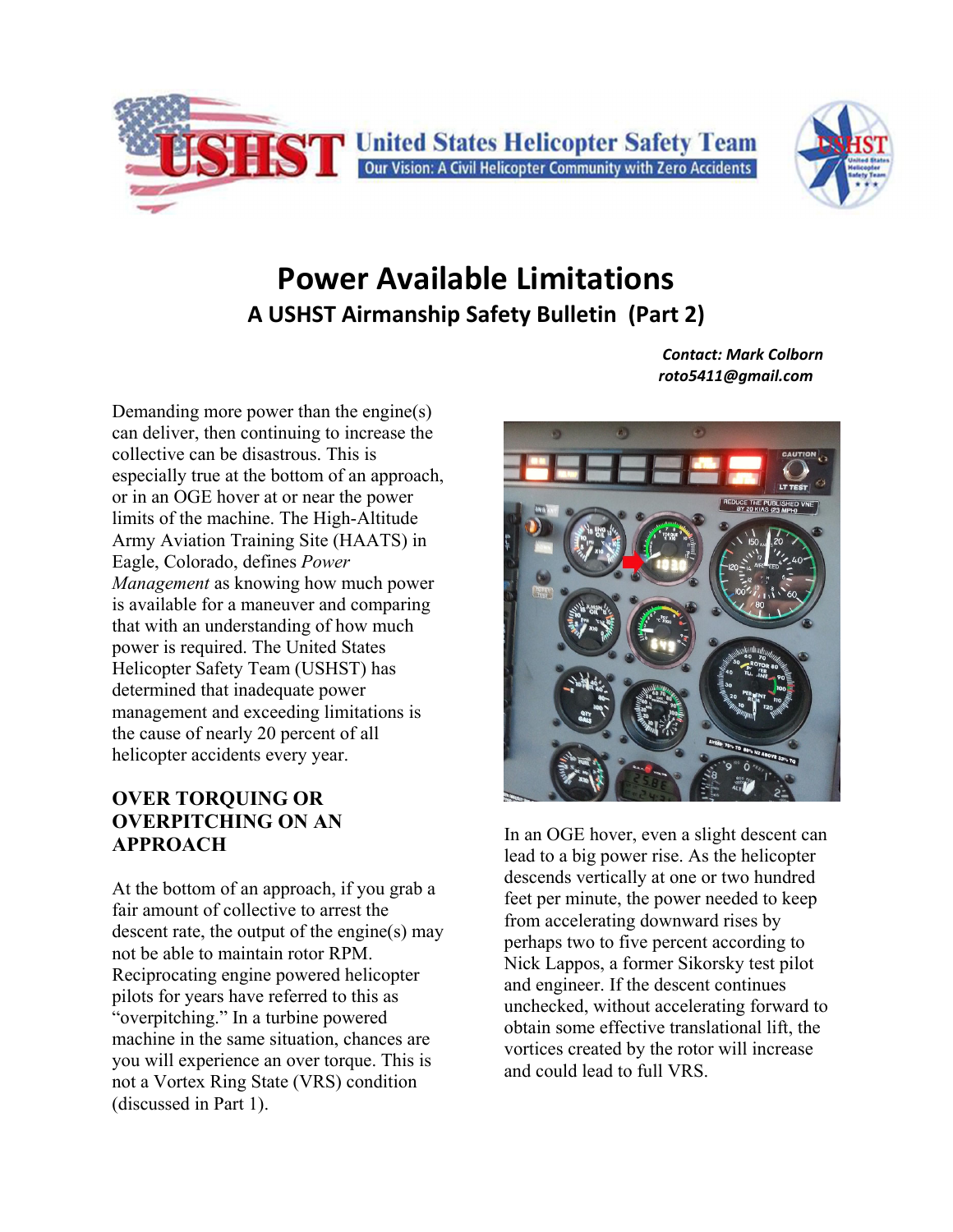



# **Power Available Limitations A USHST Airmanship Safety Bulletin (Part 2)**

Demanding more power than the engine(s) can deliver, then continuing to increase the collective can be disastrous. This is especially true at the bottom of an approach, or in an OGE hover at or near the power limits of the machine. The High-Altitude Army Aviation Training Site (HAATS) in Eagle, Colorado, defines *Power Management* as knowing how much power is available for a maneuver and comparing that with an understanding of how much power is required. The United States Helicopter Safety Team (USHST) has determined that inadequate power management and exceeding limitations is the cause of nearly 20 percent of all helicopter accidents every year.

#### **OVER TORQUING OR OVERPITCHING ON AN APPROACH**

At the bottom of an approach, if you grab a fair amount of collective to arrest the descent rate, the output of the engine(s) may not be able to maintain rotor RPM. Reciprocating engine powered helicopter pilots for years have referred to this as "overpitching." In a turbine powered machine in the same situation, chances are you will experience an over torque. This is not a Vortex Ring State (VRS) condition (discussed in Part 1).

 *Contact: Mark Colborn roto5411@gmail.com*



In an OGE hover, even a slight descent can lead to a big power rise. As the helicopter descends vertically at one or two hundred feet per minute, the power needed to keep from accelerating downward rises by perhaps two to five percent according to Nick Lappos, a former Sikorsky test pilot and engineer. If the descent continues unchecked, without accelerating forward to obtain some effective translational lift, the vortices created by the rotor will increase and could lead to full VRS.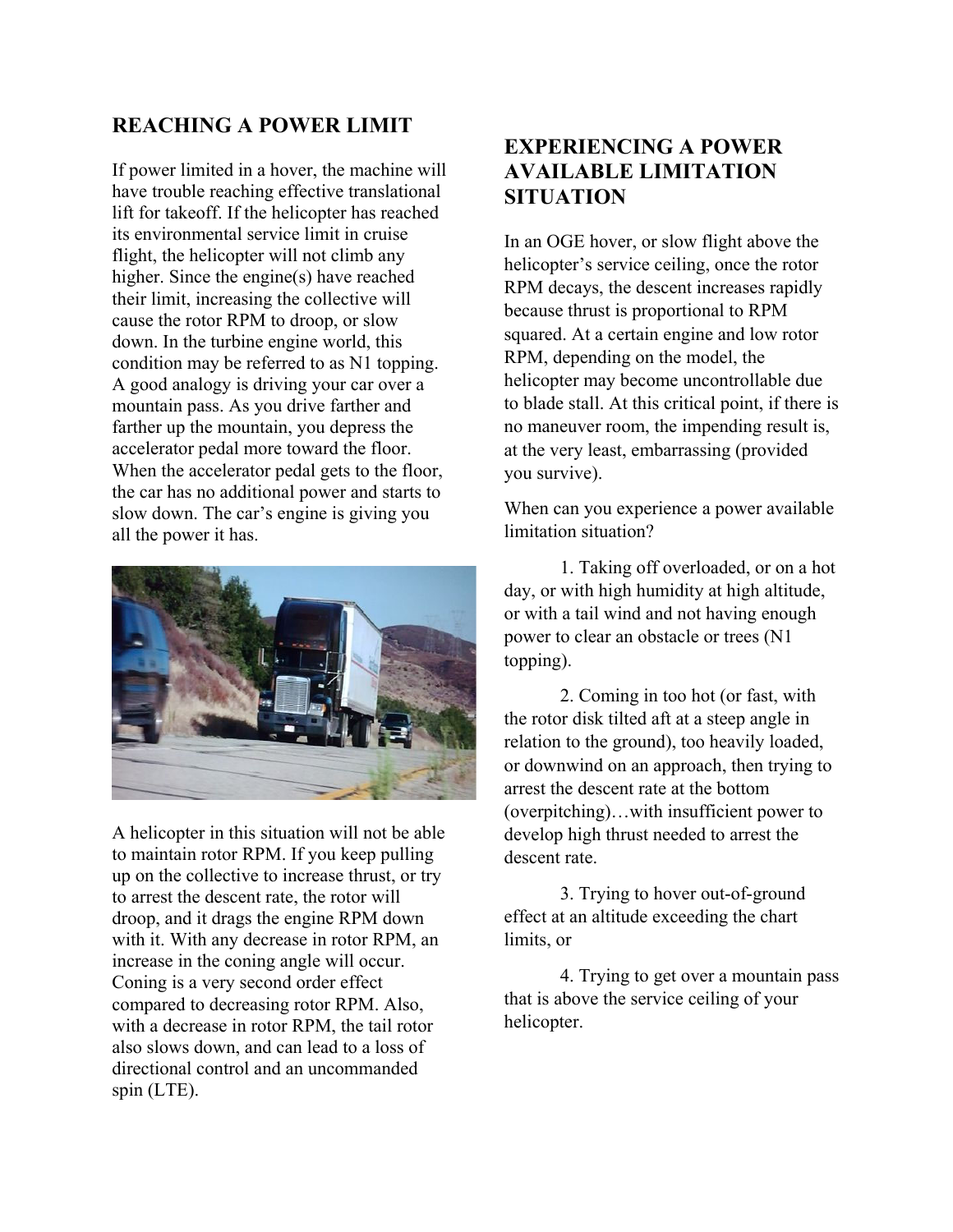### **REACHING A POWER LIMIT**

If power limited in a hover, the machine will have trouble reaching effective translational lift for takeoff. If the helicopter has reached its environmental service limit in cruise flight, the helicopter will not climb any higher. Since the engine(s) have reached their limit, increasing the collective will cause the rotor RPM to droop, or slow down. In the turbine engine world, this condition may be referred to as N1 topping. A good analogy is driving your car over a mountain pass. As you drive farther and farther up the mountain, you depress the accelerator pedal more toward the floor. When the accelerator pedal gets to the floor, the car has no additional power and starts to slow down. The car's engine is giving you all the power it has.



A helicopter in this situation will not be able to maintain rotor RPM. If you keep pulling up on the collective to increase thrust, or try to arrest the descent rate, the rotor will droop, and it drags the engine RPM down with it. With any decrease in rotor RPM, an increase in the coning angle will occur. Coning is a very second order effect compared to decreasing rotor RPM. Also, with a decrease in rotor RPM, the tail rotor also slows down, and can lead to a loss of directional control and an uncommanded spin (LTE).

### **EXPERIENCING A POWER AVAILABLE LIMITATION SITUATION**

In an OGE hover, or slow flight above the helicopter's service ceiling, once the rotor RPM decays, the descent increases rapidly because thrust is proportional to RPM squared. At a certain engine and low rotor RPM, depending on the model, the helicopter may become uncontrollable due to blade stall. At this critical point, if there is no maneuver room, the impending result is, at the very least, embarrassing (provided you survive).

When can you experience a power available limitation situation?

1. Taking off overloaded, or on a hot day, or with high humidity at high altitude, or with a tail wind and not having enough power to clear an obstacle or trees (N1 topping).

2. Coming in too hot (or fast, with the rotor disk tilted aft at a steep angle in relation to the ground), too heavily loaded, or downwind on an approach, then trying to arrest the descent rate at the bottom (overpitching)…with insufficient power to develop high thrust needed to arrest the descent rate.

3. Trying to hover out-of-ground effect at an altitude exceeding the chart limits, or

4. Trying to get over a mountain pass that is above the service ceiling of your helicopter.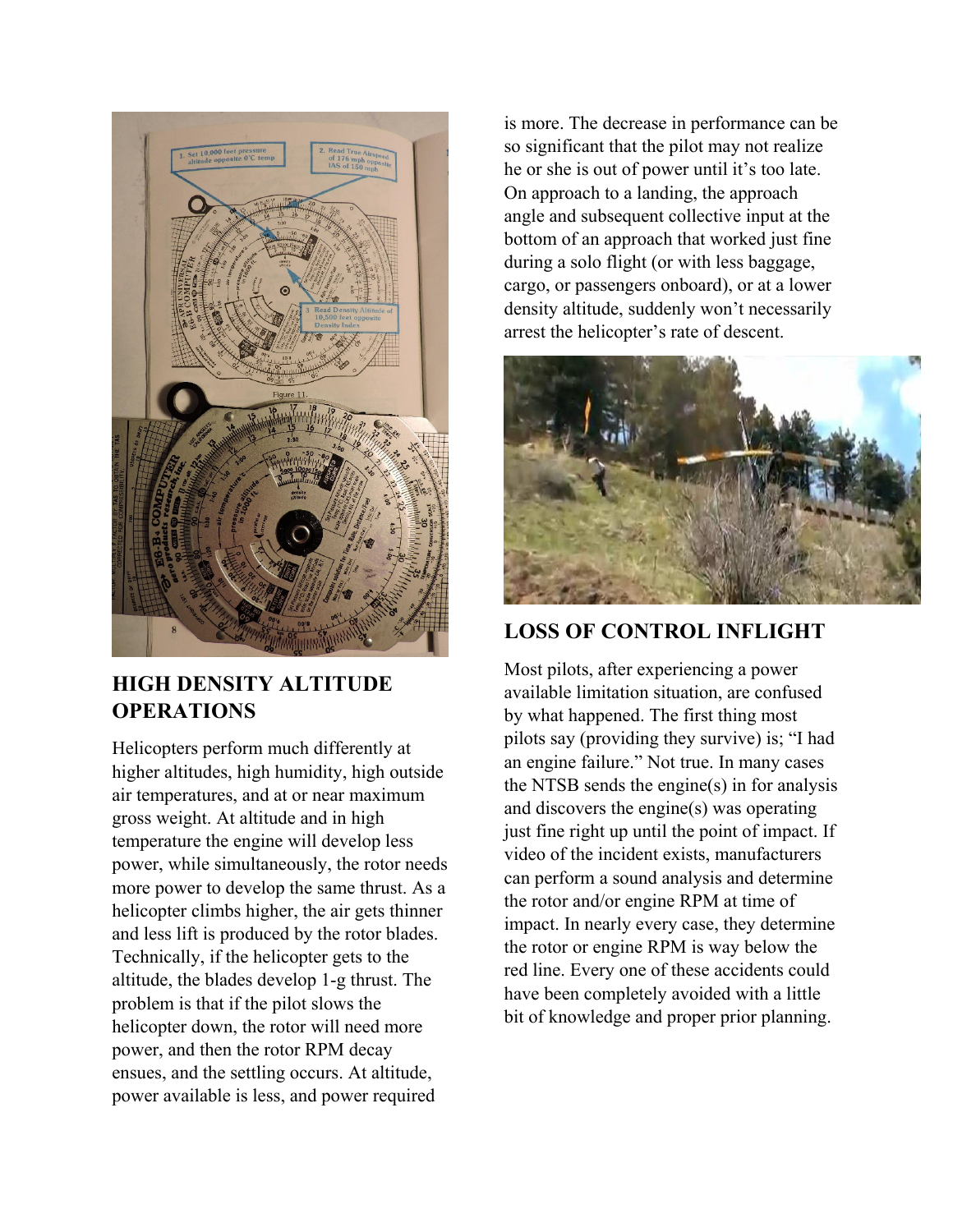

## **HIGH DENSITY ALTITUDE OPERATIONS**

Helicopters perform much differently at higher altitudes, high humidity, high outside air temperatures, and at or near maximum gross weight. At altitude and in high temperature the engine will develop less power, while simultaneously, the rotor needs more power to develop the same thrust. As a helicopter climbs higher, the air gets thinner and less lift is produced by the rotor blades. Technically, if the helicopter gets to the altitude, the blades develop 1-g thrust. The problem is that if the pilot slows the helicopter down, the rotor will need more power, and then the rotor RPM decay ensues, and the settling occurs. At altitude, power available is less, and power required

is more. The decrease in performance can be so significant that the pilot may not realize he or she is out of power until it's too late. On approach to a landing, the approach angle and subsequent collective input at the bottom of an approach that worked just fine during a solo flight (or with less baggage, cargo, or passengers onboard), or at a lower density altitude, suddenly won't necessarily arrest the helicopter's rate of descent.



## **LOSS OF CONTROL INFLIGHT**

Most pilots, after experiencing a power available limitation situation, are confused by what happened. The first thing most pilots say (providing they survive) is; "I had an engine failure." Not true. In many cases the NTSB sends the engine(s) in for analysis and discovers the engine(s) was operating just fine right up until the point of impact. If video of the incident exists, manufacturers can perform a sound analysis and determine the rotor and/or engine RPM at time of impact. In nearly every case, they determine the rotor or engine RPM is way below the red line. Every one of these accidents could have been completely avoided with a little bit of knowledge and proper prior planning.